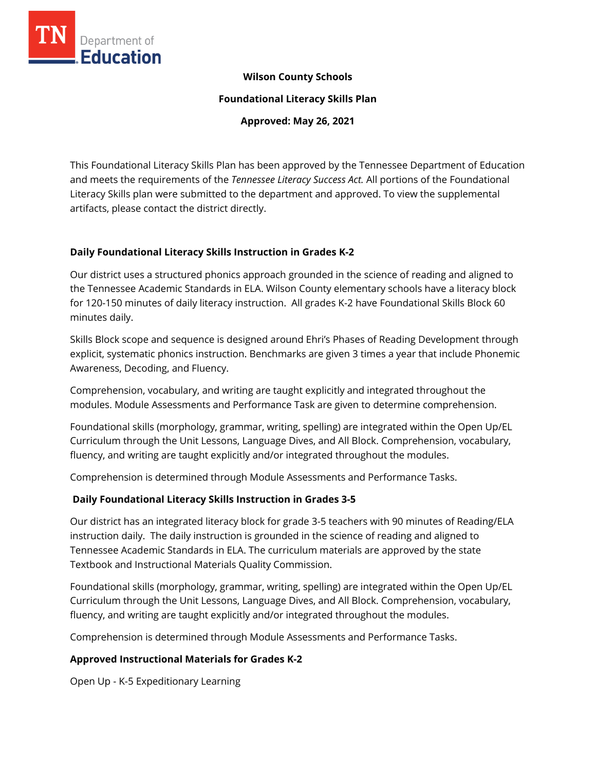

### **Wilson County Schools**

**Foundational Literacy Skills Plan**

**Approved: May 26, 2021**

This Foundational Literacy Skills Plan has been approved by the Tennessee Department of Education and meets the requirements of the *Tennessee Literacy Success Act.* All portions of the Foundational Literacy Skills plan were submitted to the department and approved. To view the supplemental artifacts, please contact the district directly.

### **Daily Foundational Literacy Skills Instruction in Grades K-2**

Our district uses a structured phonics approach grounded in the science of reading and aligned to the Tennessee Academic Standards in ELA. Wilson County elementary schools have a literacy block for 120-150 minutes of daily literacy instruction. All grades K-2 have Foundational Skills Block 60 minutes daily.

Skills Block scope and sequence is designed around Ehri's Phases of Reading Development through explicit, systematic phonics instruction. Benchmarks are given 3 times a year that include Phonemic Awareness, Decoding, and Fluency.

Comprehension, vocabulary, and writing are taught explicitly and integrated throughout the modules. Module Assessments and Performance Task are given to determine comprehension.

Foundational skills (morphology, grammar, writing, spelling) are integrated within the Open Up/EL Curriculum through the Unit Lessons, Language Dives, and All Block. Comprehension, vocabulary, fluency, and writing are taught explicitly and/or integrated throughout the modules.

Comprehension is determined through Module Assessments and Performance Tasks.

# **Daily Foundational Literacy Skills Instruction in Grades 3-5**

Our district has an integrated literacy block for grade 3-5 teachers with 90 minutes of Reading/ELA instruction daily. The daily instruction is grounded in the science of reading and aligned to Tennessee Academic Standards in ELA. The curriculum materials are approved by the state Textbook and Instructional Materials Quality Commission.

Foundational skills (morphology, grammar, writing, spelling) are integrated within the Open Up/EL Curriculum through the Unit Lessons, Language Dives, and All Block. Comprehension, vocabulary, fluency, and writing are taught explicitly and/or integrated throughout the modules.

Comprehension is determined through Module Assessments and Performance Tasks.

# **Approved Instructional Materials for Grades K-2**

Open Up - K-5 Expeditionary Learning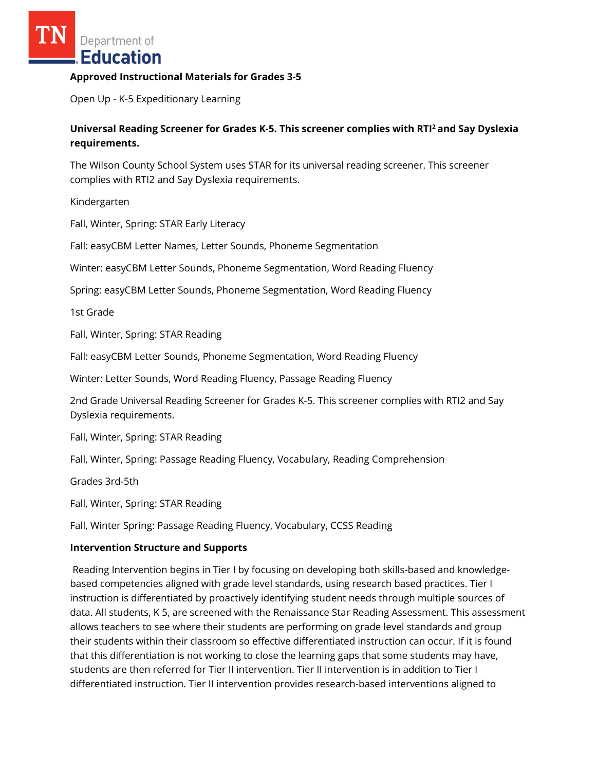Department of **Education** 

### **Approved Instructional Materials for Grades 3-5**

Open Up - K-5 Expeditionary Learning

# **Universal Reading Screener for Grades K-5. This screener complies with RTI<sup>2</sup>and Say Dyslexia requirements.**

The Wilson County School System uses STAR for its universal reading screener. This screener complies with RTI2 and Say Dyslexia requirements.

Kindergarten

Fall, Winter, Spring: STAR Early Literacy

Fall: easyCBM Letter Names, Letter Sounds, Phoneme Segmentation

Winter: easyCBM Letter Sounds, Phoneme Segmentation, Word Reading Fluency

Spring: easyCBM Letter Sounds, Phoneme Segmentation, Word Reading Fluency

1st Grade

Fall, Winter, Spring: STAR Reading

Fall: easyCBM Letter Sounds, Phoneme Segmentation, Word Reading Fluency

Winter: Letter Sounds, Word Reading Fluency, Passage Reading Fluency

2nd Grade Universal Reading Screener for Grades K-5. This screener complies with RTI2 and Say Dyslexia requirements.

Fall, Winter, Spring: STAR Reading

Fall, Winter, Spring: Passage Reading Fluency, Vocabulary, Reading Comprehension

Grades 3rd-5th

Fall, Winter, Spring: STAR Reading

Fall, Winter Spring: Passage Reading Fluency, Vocabulary, CCSS Reading

#### **Intervention Structure and Supports**

Reading Intervention begins in Tier I by focusing on developing both skills-based and knowledgebased competencies aligned with grade level standards, using research based practices. Tier I instruction is differentiated by proactively identifying student needs through multiple sources of data. All students, K 5, are screened with the Renaissance Star Reading Assessment. This assessment allows teachers to see where their students are performing on grade level standards and group their students within their classroom so effective differentiated instruction can occur. If it is found that this differentiation is not working to close the learning gaps that some students may have, students are then referred for Tier II intervention. Tier II intervention is in addition to Tier I differentiated instruction. Tier II intervention provides research-based interventions aligned to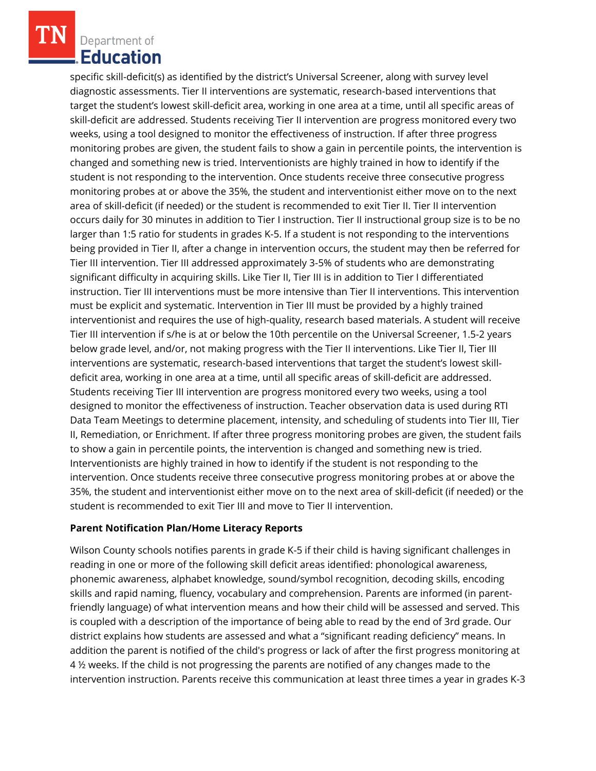Department of Education

specific skill-deficit(s) as identified by the district's Universal Screener, along with survey level diagnostic assessments. Tier II interventions are systematic, research-based interventions that target the student's lowest skill-deficit area, working in one area at a time, until all specific areas of skill-deficit are addressed. Students receiving Tier II intervention are progress monitored every two weeks, using a tool designed to monitor the effectiveness of instruction. If after three progress monitoring probes are given, the student fails to show a gain in percentile points, the intervention is changed and something new is tried. Interventionists are highly trained in how to identify if the student is not responding to the intervention. Once students receive three consecutive progress monitoring probes at or above the 35%, the student and interventionist either move on to the next area of skill-deficit (if needed) or the student is recommended to exit Tier II. Tier II intervention occurs daily for 30 minutes in addition to Tier I instruction. Tier II instructional group size is to be no larger than 1:5 ratio for students in grades K-5. If a student is not responding to the interventions being provided in Tier II, after a change in intervention occurs, the student may then be referred for Tier III intervention. Tier III addressed approximately 3-5% of students who are demonstrating significant difficulty in acquiring skills. Like Tier II, Tier III is in addition to Tier I differentiated instruction. Tier III interventions must be more intensive than Tier II interventions. This intervention must be explicit and systematic. Intervention in Tier III must be provided by a highly trained interventionist and requires the use of high-quality, research based materials. A student will receive Tier III intervention if s/he is at or below the 10th percentile on the Universal Screener, 1.5-2 years below grade level, and/or, not making progress with the Tier II interventions. Like Tier II, Tier III interventions are systematic, research-based interventions that target the student's lowest skilldeficit area, working in one area at a time, until all specific areas of skill-deficit are addressed. Students receiving Tier III intervention are progress monitored every two weeks, using a tool designed to monitor the effectiveness of instruction. Teacher observation data is used during RTI Data Team Meetings to determine placement, intensity, and scheduling of students into Tier III, Tier II, Remediation, or Enrichment. If after three progress monitoring probes are given, the student fails to show a gain in percentile points, the intervention is changed and something new is tried. Interventionists are highly trained in how to identify if the student is not responding to the intervention. Once students receive three consecutive progress monitoring probes at or above the 35%, the student and interventionist either move on to the next area of skill-deficit (if needed) or the student is recommended to exit Tier III and move to Tier II intervention.

### **Parent Notification Plan/Home Literacy Reports**

Wilson County schools notifies parents in grade K-5 if their child is having significant challenges in reading in one or more of the following skill deficit areas identified: phonological awareness, phonemic awareness, alphabet knowledge, sound/symbol recognition, decoding skills, encoding skills and rapid naming, fluency, vocabulary and comprehension. Parents are informed (in parentfriendly language) of what intervention means and how their child will be assessed and served. This is coupled with a description of the importance of being able to read by the end of 3rd grade. Our district explains how students are assessed and what a "significant reading deficiency" means. In addition the parent is notified of the child's progress or lack of after the first progress monitoring at 4 ½ weeks. If the child is not progressing the parents are notified of any changes made to the intervention instruction. Parents receive this communication at least three times a year in grades K-3